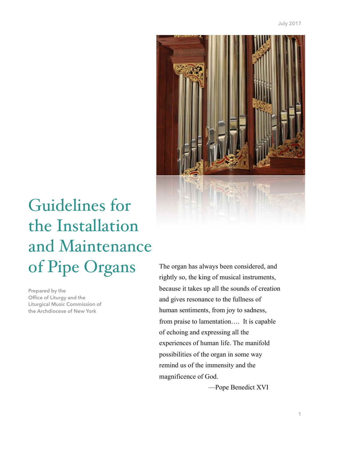

# Guidelines for the Installation and Maintenance of Pipe Organs

**Prepared by the Office of Liturgy and the Liturgical Music Commission of the Archdiocese of New York** 

The organ has always been considered, and rightly so, the king of musical instruments, because it takes up all the sounds of creation and gives resonance to the fullness of human sentiments, from joy to sadness, from praise to lamentation…. It is capable of echoing and expressing all the experiences of human life. The manifold possibilities of the organ in some way remind us of the immensity and the magnificence of God.

—Pope Benedict XVI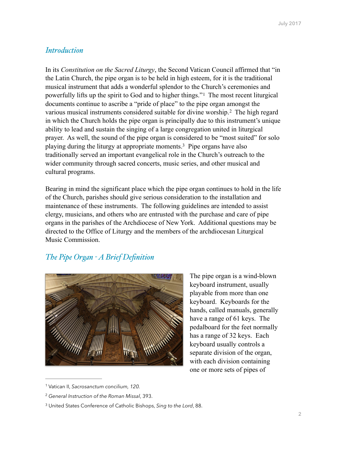## *Introduction*

<span id="page-1-3"></span>In its *Constitution on the Sacred Liturgy*, the Second Vatican Council affirmed that "in the Latin Church, the pipe organ is to be held in high esteem, for it is the traditional musical instrument that adds a wonderful splendor to the Church's ceremonies and powerfullylifts up the spirit to God and to higher things."<sup>[1](#page-1-0)</sup> The most recent liturgical documents continue to ascribe a "pride of place" to the pipe organ amongst the variousmusical instruments considered suitable for divine worship.<sup>[2](#page-1-1)</sup> The high regard in which the Church holds the pipe organ is principally due to this instrument's unique ability to lead and sustain the singing of a large congregation united in liturgical prayer. As well, the sound of the pipe organ is considered to be "most suited" for solo playing during the liturgy at appropriate moments[.](#page-1-2)<sup>[3](#page-1-2)</sup> Pipe organs have also traditionally served an important evangelical role in the Church's outreach to the wider community through sacred concerts, music series, and other musical and cultural programs.

Bearing in mind the significant place which the pipe organ continues to hold in the life of the Church, parishes should give serious consideration to the installation and maintenance of these instruments. The following guidelines are intended to assist clergy, musicians, and others who are entrusted with the purchase and care of pipe organs in the parishes of the Archdiocese of New York. Additional questions may be directed to the Office of Liturgy and the members of the archdiocesan Liturgical Music Commission.

# *The Pipe Organ - A Brief Definition*



<span id="page-1-5"></span><span id="page-1-4"></span>The pipe organ is a wind-blown keyboard instrument, usually playable from more than one keyboard. Keyboards for the hands, called manuals, generally have a range of 61 keys. The pedalboard for the feet normally has a range of 32 keys. Each keyboard usually controls a separate division of the organ, with each division containing one or more sets of pipes of

<span id="page-1-0"></span><sup>&</sup>lt;sup>[1](#page-1-3)</sup> Vatican II, Sacrosanctum concilium, 120.

<span id="page-1-1"></span>*General Instruction of the Roman Missal*, 393. [2](#page-1-4)

<span id="page-1-2"></span><sup>&</sup>lt;sup>[3](#page-1-5)</sup> United States Conference of Catholic Bishops, *Sing to the Lord*, 88.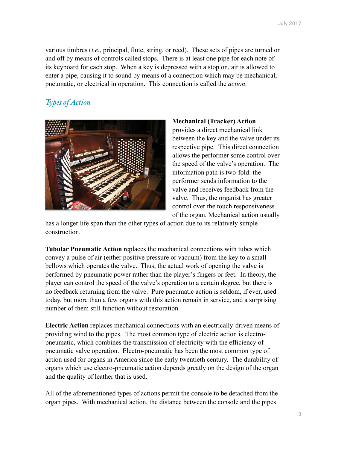various timbres (*i.e.*, principal, flute, string, or reed). These sets of pipes are turned on and off by means of controls called stops. There is at least one pipe for each note of its keyboard for each stop. When a key is depressed with a stop on, air is allowed to enter a pipe, causing it to sound by means of a connection which may be mechanical, pneumatic, or electrical in operation. This connection is called the *action*.

# *Types of Action*



#### **Mechanical (Tracker) Action**

provides a direct mechanical link between the key and the valve under its respective pipe. This direct connection allows the performer some control over the speed of the valve's operation. The information path is two-fold: the performer sends information to the valve and receives feedback from the valve. Thus, the organist has greater control over the touch responsiveness of the organ. Mechanical action usually

has a longer life span than the other types of action due to its relatively simple construction.

**Tubular Pneumatic Action** replaces the mechanical connections with tubes which convey a pulse of air (either positive pressure or vacuum) from the key to a small bellows which operates the valve. Thus, the actual work of opening the valve is performed by pneumatic power rather than the player's fingers or feet. In theory, the player can control the speed of the valve's operation to a certain degree, but there is no feedback returning from the valve. Pure pneumatic action is seldom, if ever, used today, but more than a few organs with this action remain in service, and a surprising number of them still function without restoration.

**Electric Action** replaces mechanical connections with an electrically-driven means of providing wind to the pipes. The most common type of electric action is electropneumatic, which combines the transmission of electricity with the efficiency of pneumatic valve operation. Electro-pneumatic has been the most common type of action used for organs in America since the early twentieth century. The durability of organs which use electro-pneumatic action depends greatly on the design of the organ and the quality of leather that is used.

All of the aforementioned types of actions permit the console to be detached from the organ pipes. With mechanical action, the distance between the console and the pipes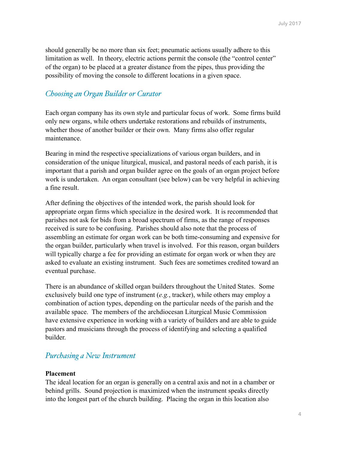should generally be no more than six feet; pneumatic actions usually adhere to this limitation as well. In theory, electric actions permit the console (the "control center" of the organ) to be placed at a greater distance from the pipes, thus providing the possibility of moving the console to different locations in a given space.

# *Choosing an Organ Builder or Curator*

Each organ company has its own style and particular focus of work. Some firms build only new organs, while others undertake restorations and rebuilds of instruments, whether those of another builder or their own. Many firms also offer regular maintenance.

Bearing in mind the respective specializations of various organ builders, and in consideration of the unique liturgical, musical, and pastoral needs of each parish, it is important that a parish and organ builder agree on the goals of an organ project before work is undertaken. An organ consultant (see below) can be very helpful in achieving a fine result.

After defining the objectives of the intended work, the parish should look for appropriate organ firms which specialize in the desired work. It is recommended that parishes not ask for bids from a broad spectrum of firms, as the range of responses received is sure to be confusing. Parishes should also note that the process of assembling an estimate for organ work can be both time-consuming and expensive for the organ builder, particularly when travel is involved. For this reason, organ builders will typically charge a fee for providing an estimate for organ work or when they are asked to evaluate an existing instrument. Such fees are sometimes credited toward an eventual purchase.

There is an abundance of skilled organ builders throughout the United States. Some exclusively build one type of instrument (*e.g.*, tracker), while others may employ a combination of action types, depending on the particular needs of the parish and the available space. The members of the archdiocesan Liturgical Music Commission have extensive experience in working with a variety of builders and are able to guide pastors and musicians through the process of identifying and selecting a qualified builder.

## *Purchasing a New Instrument*

#### **Placement**

The ideal location for an organ is generally on a central axis and not in a chamber or behind grills. Sound projection is maximized when the instrument speaks directly into the longest part of the church building. Placing the organ in this location also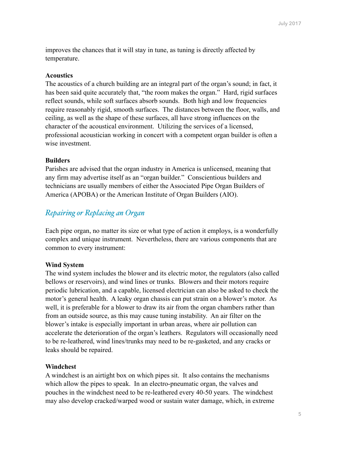improves the chances that it will stay in tune, as tuning is directly affected by temperature.

#### **Acoustics**

The acoustics of a church building are an integral part of the organ's sound; in fact, it has been said quite accurately that, "the room makes the organ." Hard, rigid surfaces reflect sounds, while soft surfaces absorb sounds. Both high and low frequencies require reasonably rigid, smooth surfaces. The distances between the floor, walls, and ceiling, as well as the shape of these surfaces, all have strong influences on the character of the acoustical environment. Utilizing the services of a licensed, professional acoustician working in concert with a competent organ builder is often a wise investment.

#### **Builders**

Parishes are advised that the organ industry in America is unlicensed, meaning that any firm may advertise itself as an "organ builder." Conscientious builders and technicians are usually members of either the Associated Pipe Organ Builders of America (APOBA) or the American Institute of Organ Builders (AIO).

## *Repairing or Replacing an Organ*

Each pipe organ, no matter its size or what type of action it employs, is a wonderfully complex and unique instrument. Nevertheless, there are various components that are common to every instrument:

#### **Wind System**

The wind system includes the blower and its electric motor, the regulators (also called bellows or reservoirs), and wind lines or trunks. Blowers and their motors require periodic lubrication, and a capable, licensed electrician can also be asked to check the motor's general health. A leaky organ chassis can put strain on a blower's motor. As well, it is preferable for a blower to draw its air from the organ chambers rather than from an outside source, as this may cause tuning instability. An air filter on the blower's intake is especially important in urban areas, where air pollution can accelerate the deterioration of the organ's leathers. Regulators will occasionally need to be re-leathered, wind lines/trunks may need to be re-gasketed, and any cracks or leaks should be repaired.

#### **Windchest**

A windchest is an airtight box on which pipes sit. It also contains the mechanisms which allow the pipes to speak. In an electro-pneumatic organ, the valves and pouches in the windchest need to be re-leathered every 40-50 years. The windchest may also develop cracked/warped wood or sustain water damage, which, in extreme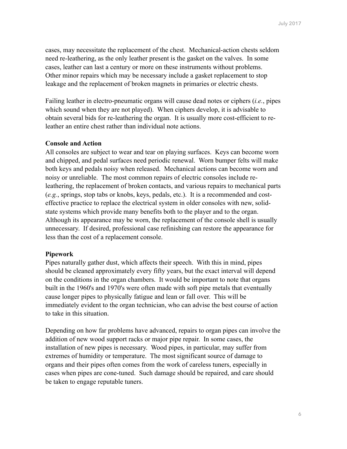cases, may necessitate the replacement of the chest. Mechanical-action chests seldom need re-leathering, as the only leather present is the gasket on the valves. In some cases, leather can last a century or more on these instruments without problems. Other minor repairs which may be necessary include a gasket replacement to stop leakage and the replacement of broken magnets in primaries or electric chests.

Failing leather in electro-pneumatic organs will cause dead notes or ciphers (*i.e.*, pipes which sound when they are not played). When ciphers develop, it is advisable to obtain several bids for re-leathering the organ. It is usually more cost-efficient to releather an entire chest rather than individual note actions.

#### **Console and Action**

All consoles are subject to wear and tear on playing surfaces. Keys can become worn and chipped, and pedal surfaces need periodic renewal. Worn bumper felts will make both keys and pedals noisy when released. Mechanical actions can become worn and noisy or unreliable. The most common repairs of electric consoles include releathering, the replacement of broken contacts, and various repairs to mechanical parts (*e.g.*, springs, stop tabs or knobs, keys, pedals, etc.). It is a recommended and costeffective practice to replace the electrical system in older consoles with new, solidstate systems which provide many benefits both to the player and to the organ. Although its appearance may be worn, the replacement of the console shell is usually unnecessary. If desired, professional case refinishing can restore the appearance for less than the cost of a replacement console.

#### **Pipework**

Pipes naturally gather dust, which affects their speech. With this in mind, pipes should be cleaned approximately every fifty years, but the exact interval will depend on the conditions in the organ chambers. It would be important to note that organs built in the 1960's and 1970's were often made with soft pipe metals that eventually cause longer pipes to physically fatigue and lean or fall over. This will be immediately evident to the organ technician, who can advise the best course of action to take in this situation.

Depending on how far problems have advanced, repairs to organ pipes can involve the addition of new wood support racks or major pipe repair. In some cases, the installation of new pipes is necessary. Wood pipes, in particular, may suffer from extremes of humidity or temperature. The most significant source of damage to organs and their pipes often comes from the work of careless tuners, especially in cases when pipes are cone-tuned. Such damage should be repaired, and care should be taken to engage reputable tuners.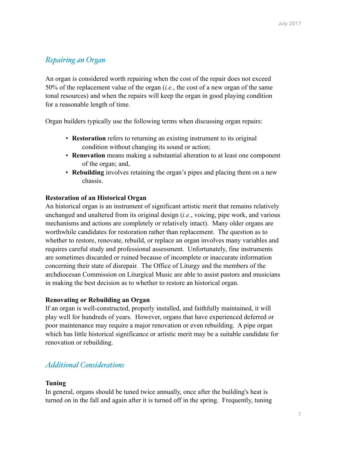# *Repairing an Organ*

An organ is considered worth repairing when the cost of the repair does not exceed 50% of the replacement value of the organ (*i.e.*, the cost of a new organ of the same tonal resources) and when the repairs will keep the organ in good playing condition for a reasonable length of time.

Organ builders typically use the following terms when discussing organ repairs:

- **Restoration** refers to returning an existing instrument to its original condition without changing its sound or action;
- **Renovation** means making a substantial alteration to at least one component of the organ; and,
- **Rebuilding** involves retaining the organ's pipes and placing them on a new chassis.

## **Restoration of an Historical Organ**

An historical organ is an instrument of significant artistic merit that remains relatively unchanged and unaltered from its original design (*i.e*., voicing, pipe work, and various mechanisms and actions are completely or relatively intact). Many older organs are worthwhile candidates for restoration rather than replacement. The question as to whether to restore, renovate, rebuild, or replace an organ involves many variables and requires careful study and professional assessment. Unfortunately, fine instruments are sometimes discarded or ruined because of incomplete or inaccurate information concerning their state of disrepair. The Office of Liturgy and the members of the archdiocesan Commission on Liturgical Music are able to assist pastors and musicians in making the best decision as to whether to restore an historical organ.

## **Renovating or Rebuilding an Organ**

If an organ is well-constructed, properly installed, and faithfully maintained, it will play well for hundreds of years. However, organs that have experienced deferred or poor maintenance may require a major renovation or even rebuilding. A pipe organ which has little historical significance or artistic merit may be a suitable candidate for renovation or rebuilding.

# *Additional Considerations*

## **Tuning**

In general, organs should be tuned twice annually, once after the building's heat is turned on in the fall and again after it is turned off in the spring. Frequently, tuning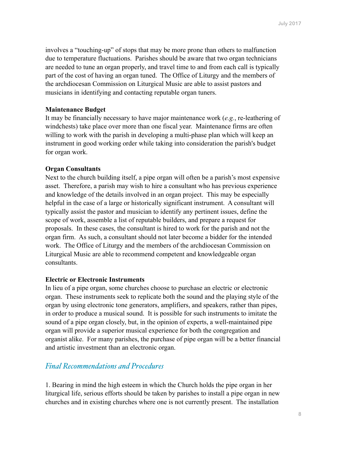involves a "touching-up" of stops that may be more prone than others to malfunction due to temperature fluctuations. Parishes should be aware that two organ technicians are needed to tune an organ properly, and travel time to and from each call is typically part of the cost of having an organ tuned. The Office of Liturgy and the members of the archdiocesan Commission on Liturgical Music are able to assist pastors and musicians in identifying and contacting reputable organ tuners.

#### **Maintenance Budget**

It may be financially necessary to have major maintenance work (*e.g.*, re-leathering of windchests) take place over more than one fiscal year. Maintenance firms are often willing to work with the parish in developing a multi-phase plan which will keep an instrument in good working order while taking into consideration the parish's budget for organ work.

#### **Organ Consultants**

Next to the church building itself, a pipe organ will often be a parish's most expensive asset. Therefore, a parish may wish to hire a consultant who has previous experience and knowledge of the details involved in an organ project. This may be especially helpful in the case of a large or historically significant instrument. A consultant will typically assist the pastor and musician to identify any pertinent issues, define the scope of work, assemble a list of reputable builders, and prepare a request for proposals. In these cases, the consultant is hired to work for the parish and not the organ firm. As such, a consultant should not later become a bidder for the intended work. The Office of Liturgy and the members of the archdiocesan Commission on Liturgical Music are able to recommend competent and knowledgeable organ consultants.

#### **Electric or Electronic Instruments**

In lieu of a pipe organ, some churches choose to purchase an electric or electronic organ. These instruments seek to replicate both the sound and the playing style of the organ by using electronic tone generators, amplifiers, and speakers, rather than pipes, in order to produce a musical sound. It is possible for such instruments to imitate the sound of a pipe organ closely, but, in the opinion of experts, a well-maintained pipe organ will provide a superior musical experience for both the congregation and organist alike. For many parishes, the purchase of pipe organ will be a better financial and artistic investment than an electronic organ.

### *Final Recommendations and Procedures*

1. Bearing in mind the high esteem in which the Church holds the pipe organ in her liturgical life, serious efforts should be taken by parishes to install a pipe organ in new churches and in existing churches where one is not currently present. The installation